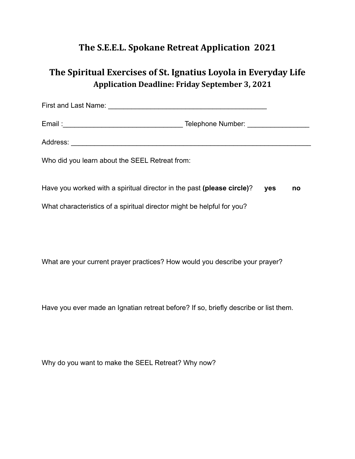## **The S.E.E.L. Spokane Retreat Application 2021**

## **The Spiritual Exercises of St. Ignatius Loyola in Everyday Life Application Deadline: Friday September 3, 2021**

| Who did you learn about the SEEL Retreat from:                         |  |     |    |
|------------------------------------------------------------------------|--|-----|----|
| Have you worked with a spiritual director in the past (please circle)? |  | yes | no |
| What characteristics of a spiritual director might be helpful for you? |  |     |    |

What are your current prayer practices? How would you describe your prayer?

Have you ever made an Ignatian retreat before? If so, briefly describe or list them.

Why do you want to make the SEEL Retreat? Why now?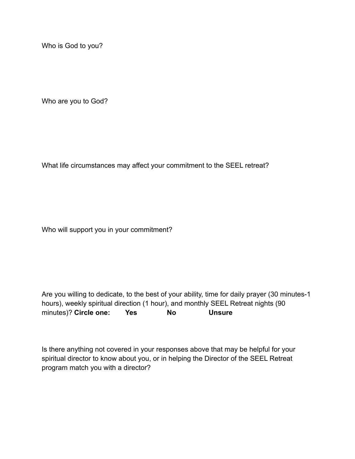Who is God to you?

Who are you to God?

What life circumstances may affect your commitment to the SEEL retreat?

Who will support you in your commitment?

Are you willing to dedicate, to the best of your ability, time for daily prayer (30 minutes-1 hours), weekly spiritual direction (1 hour), and monthly SEEL Retreat nights (90 minutes)? **Circle one: Yes No Unsure**

Is there anything not covered in your responses above that may be helpful for your spiritual director to know about you, or in helping the Director of the SEEL Retreat program match you with a director?